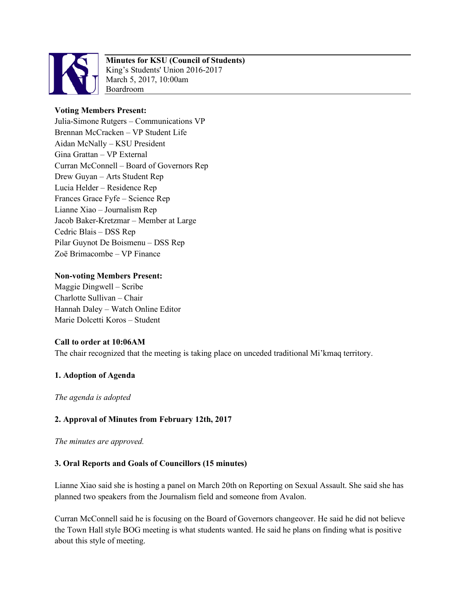

# **Minutes for KSU (Council of Students)**

King's Students' Union 2016-2017 March 5, 2017, 10:00am Boardroom

# **Voting Members Present:**

Julia-Simone Rutgers – Communications VP Brennan McCracken – VP Student Life Aidan McNally – KSU President Gina Grattan – VP External Curran McConnell – Board of Governors Rep Drew Guyan – Arts Student Rep Lucia Helder – Residence Rep Frances Grace Fyfe – Science Rep Lianne Xiao – Journalism Rep Jacob Baker-Kretzmar – Member at Large Cedric Blais – DSS Rep Pilar Guynot De Boismenu – DSS Rep Zoë Brimacombe – VP Finance

# **Non-voting Members Present:**

Maggie Dingwell – Scribe Charlotte Sullivan – Chair Hannah Daley – Watch Online Editor Marie Dolcetti Koros – Student

# **Call to order at 10:06AM**

The chair recognized that the meeting is taking place on unceded traditional Mi'kmaq territory.

# **1. Adoption of Agenda**

*The agenda is adopted*

# **2. Approval of Minutes from February 12th, 2017**

*The minutes are approved.* 

# **3. Oral Reports and Goals of Councillors (15 minutes)**

Lianne Xiao said she is hosting a panel on March 20th on Reporting on Sexual Assault. She said she has planned two speakers from the Journalism field and someone from Avalon.

Curran McConnell said he is focusing on the Board of Governors changeover. He said he did not believe the Town Hall style BOG meeting is what students wanted. He said he plans on finding what is positive about this style of meeting.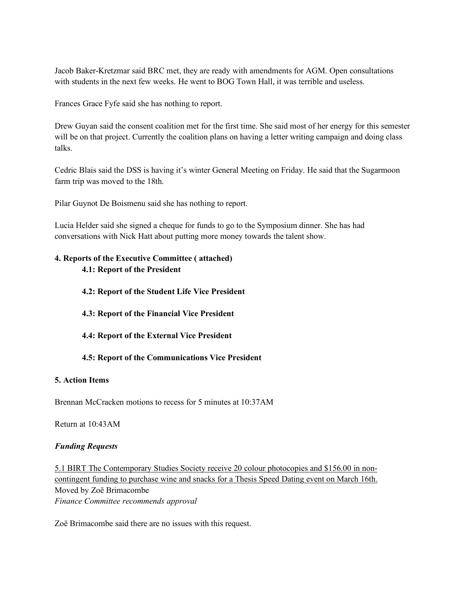Jacob Baker-Kretzmar said BRC met, they are ready with amendments for AGM. Open consultations with students in the next few weeks. He went to BOG Town Hall, it was terrible and useless.

Frances Grace Fyfe said she has nothing to report.

Drew Guyan said the consent coalition met for the first time. She said most of her energy for this semester will be on that project. Currently the coalition plans on having a letter writing campaign and doing class talks.

Cedric Blais said the DSS is having it's winter General Meeting on Friday. He said that the Sugarmoon farm trip was moved to the 18th.

Pilar Guynot De Boismenu said she has nothing to report.

Lucia Helder said she signed a cheque for funds to go to the Symposium dinner. She has had conversations with Nick Hatt about putting more money towards the talent show.

# **4. Reports of the Executive Committee ( attached) 4.1: Report of the President**

#### **4.2: Report of the Student Life Vice President**

- **4.3: Report of the Financial Vice President**
- **4.4: Report of the External Vice President**

#### **4.5: Report of the Communications Vice President**

#### **5. Action Items**

Brennan McCracken motions to recess for 5 minutes at 10:37AM

Return at 10:43AM

#### *Funding Requests*

5.1 BIRT The Contemporary Studies Society receive 20 colour photocopies and \$156.00 in noncontingent funding to purchase wine and snacks for a Thesis Speed Dating event on March 16th. Moved by Zoë Brimacombe *Finance Committee recommends approval*

Zoë Brimacombe said there are no issues with this request.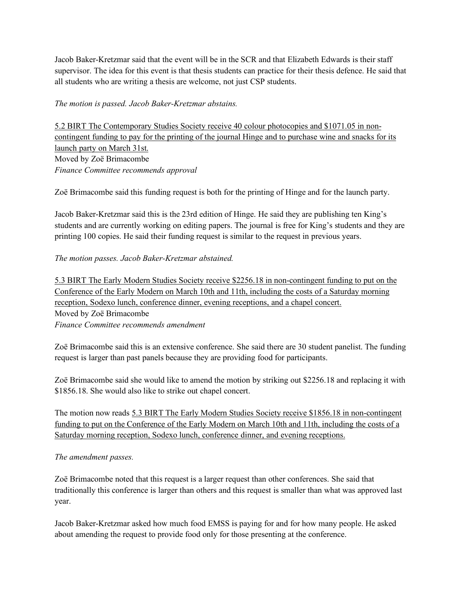Jacob Baker-Kretzmar said that the event will be in the SCR and that Elizabeth Edwards is their staff supervisor. The idea for this event is that thesis students can practice for their thesis defence. He said that all students who are writing a thesis are welcome, not just CSP students.

# *The motion is passed. Jacob Baker-Kretzmar abstains.*

5.2 BIRT The Contemporary Studies Society receive 40 colour photocopies and \$1071.05 in noncontingent funding to pay for the printing of the journal Hinge and to purchase wine and snacks for its launch party on March 31st. Moved by Zoë Brimacombe *Finance Committee recommends approval*

Zoë Brimacombe said this funding request is both for the printing of Hinge and for the launch party.

Jacob Baker-Kretzmar said this is the 23rd edition of Hinge. He said they are publishing ten King's students and are currently working on editing papers. The journal is free for King's students and they are printing 100 copies. He said their funding request is similar to the request in previous years.

# *The motion passes. Jacob Baker-Kretzmar abstained.*

5.3 BIRT The Early Modern Studies Society receive \$2256.18 in non-contingent funding to put on the Conference of the Early Modern on March 10th and 11th, including the costs of a Saturday morning reception, Sodexo lunch, conference dinner, evening receptions, and a chapel concert. Moved by Zoë Brimacombe *Finance Committee recommends amendment*

Zoë Brimacombe said this is an extensive conference. She said there are 30 student panelist. The funding request is larger than past panels because they are providing food for participants.

Zoë Brimacombe said she would like to amend the motion by striking out \$2256.18 and replacing it with \$1856.18. She would also like to strike out chapel concert.

The motion now reads 5.3 BIRT The Early Modern Studies Society receive \$1856.18 in non-contingent funding to put on the Conference of the Early Modern on March 10th and 11th, including the costs of a Saturday morning reception, Sodexo lunch, conference dinner, and evening receptions.

# *The amendment passes.*

Zoë Brimacombe noted that this request is a larger request than other conferences. She said that traditionally this conference is larger than others and this request is smaller than what was approved last year.

Jacob Baker-Kretzmar asked how much food EMSS is paying for and for how many people. He asked about amending the request to provide food only for those presenting at the conference.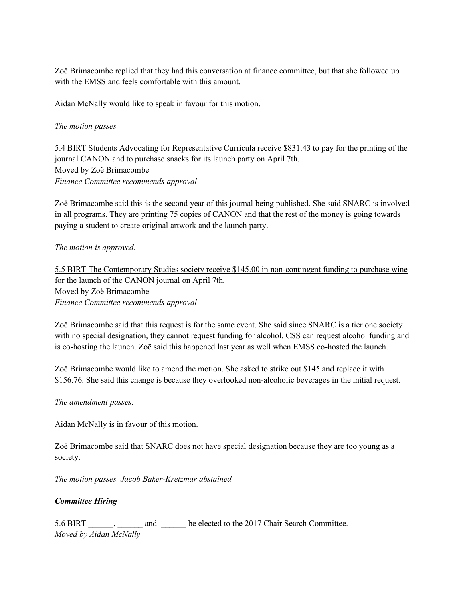Zoë Brimacombe replied that they had this conversation at finance committee, but that she followed up with the EMSS and feels comfortable with this amount.

Aidan McNally would like to speak in favour for this motion.

*The motion passes.* 

5.4 BIRT Students Advocating for Representative Curricula receive \$831.43 to pay for the printing of the journal CANON and to purchase snacks for its launch party on April 7th. Moved by Zoë Brimacombe *Finance Committee recommends approval*

Zoë Brimacombe said this is the second year of this journal being published. She said SNARC is involved in all programs. They are printing 75 copies of CANON and that the rest of the money is going towards paying a student to create original artwork and the launch party.

#### *The motion is approved.*

5.5 BIRT The Contemporary Studies society receive \$145.00 in non-contingent funding to purchase wine for the launch of the CANON journal on April 7th. Moved by Zoë Brimacombe *Finance Committee recommends approval*

Zoë Brimacombe said that this request is for the same event. She said since SNARC is a tier one society with no special designation, they cannot request funding for alcohol. CSS can request alcohol funding and is co-hosting the launch. Zoë said this happened last year as well when EMSS co-hosted the launch.

Zoë Brimacombe would like to amend the motion. She asked to strike out \$145 and replace it with \$156.76. She said this change is because they overlooked non-alcoholic beverages in the initial request.

*The amendment passes.* 

Aidan McNally is in favour of this motion.

Zoë Brimacombe said that SNARC does not have special designation because they are too young as a society.

*The motion passes. Jacob Baker-Kretzmar abstained.* 

*Committee Hiring*

5.6 BIRT  $\qquad \qquad$  and  $\qquad \qquad$  be elected to the 2017 Chair Search Committee.

*Moved by Aidan McNally*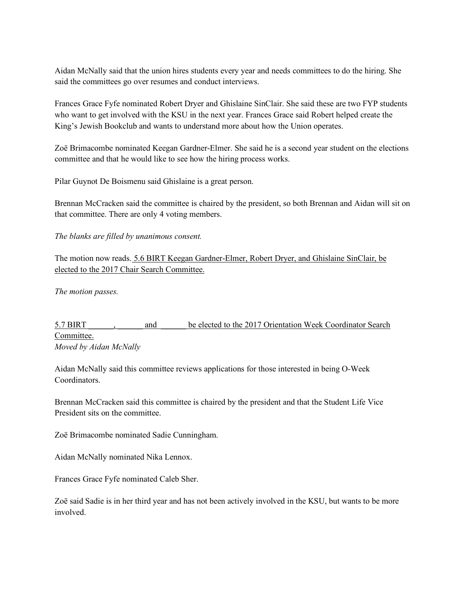Aidan McNally said that the union hires students every year and needs committees to do the hiring. She said the committees go over resumes and conduct interviews.

Frances Grace Fyfe nominated Robert Dryer and Ghislaine SinClair. She said these are two FYP students who want to get involved with the KSU in the next year. Frances Grace said Robert helped create the King's Jewish Bookclub and wants to understand more about how the Union operates.

Zoë Brimacombe nominated Keegan Gardner-Elmer. She said he is a second year student on the elections committee and that he would like to see how the hiring process works.

Pilar Guynot De Boismenu said Ghislaine is a great person.

Brennan McCracken said the committee is chaired by the president, so both Brennan and Aidan will sit on that committee. There are only 4 voting members.

*The blanks are filled by unanimous consent.* 

The motion now reads. 5.6 BIRT Keegan Gardner-Elmer, Robert Dryer, and Ghislaine SinClair, be elected to the 2017 Chair Search Committee.

*The motion passes.* 

5.7 BIRT and be elected to the 2017 Orientation Week Coordinator Search Committee. *Moved by Aidan McNally*

Aidan McNally said this committee reviews applications for those interested in being O-Week Coordinators.

Brennan McCracken said this committee is chaired by the president and that the Student Life Vice President sits on the committee.

Zoë Brimacombe nominated Sadie Cunningham.

Aidan McNally nominated Nika Lennox.

Frances Grace Fyfe nominated Caleb Sher.

Zoë said Sadie is in her third year and has not been actively involved in the KSU, but wants to be more involved.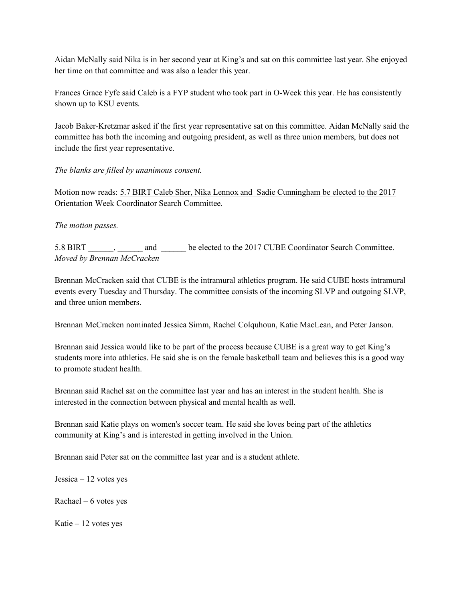Aidan McNally said Nika is in her second year at King's and sat on this committee last year. She enjoyed her time on that committee and was also a leader this year.

Frances Grace Fyfe said Caleb is a FYP student who took part in O-Week this year. He has consistently shown up to KSU events.

Jacob Baker-Kretzmar asked if the first year representative sat on this committee. Aidan McNally said the committee has both the incoming and outgoing president, as well as three union members, but does not include the first year representative.

*The blanks are filled by unanimous consent.* 

Motion now reads: 5.7 BIRT Caleb Sher, Nika Lennox and Sadie Cunningham be elected to the 2017 Orientation Week Coordinator Search Committee.

*The motion passes.* 

5.8 BIRT \_\_\_\_\_, \_\_\_\_\_\_ and \_\_\_\_\_\_ be elected to the 2017 CUBE Coordinator Search Committee. *Moved by Brennan McCracken*

Brennan McCracken said that CUBE is the intramural athletics program. He said CUBE hosts intramural events every Tuesday and Thursday. The committee consists of the incoming SLVP and outgoing SLVP, and three union members.

Brennan McCracken nominated Jessica Simm, Rachel Colquhoun, Katie MacLean, and Peter Janson.

Brennan said Jessica would like to be part of the process because CUBE is a great way to get King's students more into athletics. He said she is on the female basketball team and believes this is a good way to promote student health.

Brennan said Rachel sat on the committee last year and has an interest in the student health. She is interested in the connection between physical and mental health as well.

Brennan said Katie plays on women's soccer team. He said she loves being part of the athletics community at King's and is interested in getting involved in the Union.

Brennan said Peter sat on the committee last year and is a student athlete.

Jessica – 12 votes yes

Rachael –  $6$  votes yes

Katie – 12 votes yes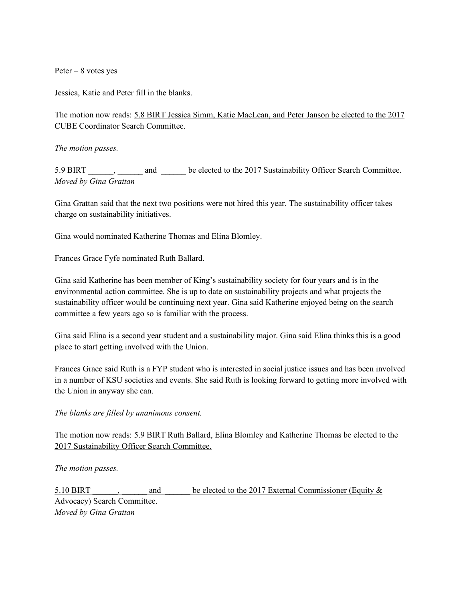Peter  $-8$  votes yes

Jessica, Katie and Peter fill in the blanks.

The motion now reads: 5.8 BIRT Jessica Simm, Katie MacLean, and Peter Janson be elected to the 2017 CUBE Coordinator Search Committee.

*The motion passes.* 

5.9 BIRT and be elected to the 2017 Sustainability Officer Search Committee. *Moved by Gina Grattan*

Gina Grattan said that the next two positions were not hired this year. The sustainability officer takes charge on sustainability initiatives.

Gina would nominated Katherine Thomas and Elina Blomley.

Frances Grace Fyfe nominated Ruth Ballard.

Gina said Katherine has been member of King's sustainability society for four years and is in the environmental action committee. She is up to date on sustainability projects and what projects the sustainability officer would be continuing next year. Gina said Katherine enjoyed being on the search committee a few years ago so is familiar with the process.

Gina said Elina is a second year student and a sustainability major. Gina said Elina thinks this is a good place to start getting involved with the Union.

Frances Grace said Ruth is a FYP student who is interested in social justice issues and has been involved in a number of KSU societies and events. She said Ruth is looking forward to getting more involved with the Union in anyway she can.

*The blanks are filled by unanimous consent.* 

The motion now reads: 5.9 BIRT Ruth Ballard, Elina Blomley and Katherine Thomas be elected to the 2017 Sustainability Officer Search Committee.

*The motion passes.* 

5.10 BIRT \_\_\_\_\_, \_\_\_\_\_\_ and \_\_\_\_\_\_ be elected to the 2017 External Commissioner (Equity & Advocacy) Search Committee. *Moved by Gina Grattan*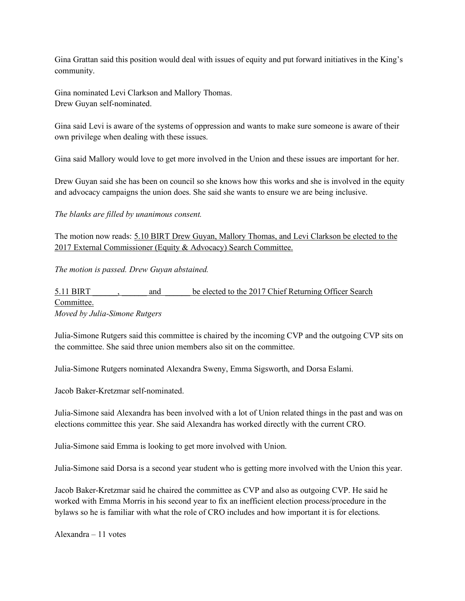Gina Grattan said this position would deal with issues of equity and put forward initiatives in the King's community.

Gina nominated Levi Clarkson and Mallory Thomas. Drew Guyan self-nominated.

Gina said Levi is aware of the systems of oppression and wants to make sure someone is aware of their own privilege when dealing with these issues.

Gina said Mallory would love to get more involved in the Union and these issues are important for her.

Drew Guyan said she has been on council so she knows how this works and she is involved in the equity and advocacy campaigns the union does. She said she wants to ensure we are being inclusive.

*The blanks are filled by unanimous consent.* 

The motion now reads: 5.10 BIRT Drew Guyan, Mallory Thomas, and Levi Clarkson be elected to the 2017 External Commissioner (Equity & Advocacy) Search Committee.

*The motion is passed. Drew Guyan abstained.*

5.11 BIRT \_\_\_\_\_\_, \_\_\_\_\_\_ and \_\_\_\_\_\_ be elected to the 2017 Chief Returning Officer Search Committee. *Moved by Julia-Simone Rutgers*

Julia-Simone Rutgers said this committee is chaired by the incoming CVP and the outgoing CVP sits on the committee. She said three union members also sit on the committee.

Julia-Simone Rutgers nominated Alexandra Sweny, Emma Sigsworth, and Dorsa Eslami.

Jacob Baker-Kretzmar self-nominated.

Julia-Simone said Alexandra has been involved with a lot of Union related things in the past and was on elections committee this year. She said Alexandra has worked directly with the current CRO.

Julia-Simone said Emma is looking to get more involved with Union.

Julia-Simone said Dorsa is a second year student who is getting more involved with the Union this year.

Jacob Baker-Kretzmar said he chaired the committee as CVP and also as outgoing CVP. He said he worked with Emma Morris in his second year to fix an inefficient election process/procedure in the bylaws so he is familiar with what the role of CRO includes and how important it is for elections.

Alexandra – 11 votes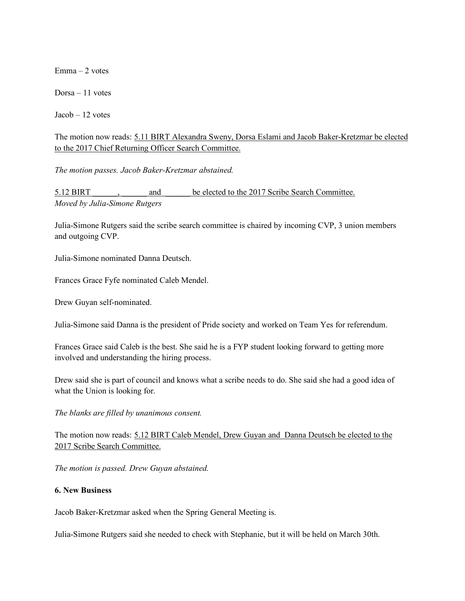Emma – 2 votes

Dorsa – 11 votes

Jacob – 12 votes

The motion now reads: 5.11 BIRT Alexandra Sweny, Dorsa Eslami and Jacob Baker-Kretzmar be elected to the 2017 Chief Returning Officer Search Committee.

*The motion passes. Jacob Baker-Kretzmar abstained.* 

5.12 BIRT  $\qquad \qquad$ , and  $\qquad \qquad$  be elected to the 2017 Scribe Search Committee. *Moved by Julia-Simone Rutgers*

Julia-Simone Rutgers said the scribe search committee is chaired by incoming CVP, 3 union members and outgoing CVP.

Julia-Simone nominated Danna Deutsch.

Frances Grace Fyfe nominated Caleb Mendel.

Drew Guyan self-nominated.

Julia-Simone said Danna is the president of Pride society and worked on Team Yes for referendum.

Frances Grace said Caleb is the best. She said he is a FYP student looking forward to getting more involved and understanding the hiring process.

Drew said she is part of council and knows what a scribe needs to do. She said she had a good idea of what the Union is looking for.

*The blanks are filled by unanimous consent.* 

The motion now reads: 5.12 BIRT Caleb Mendel, Drew Guyan and Danna Deutsch be elected to the 2017 Scribe Search Committee.

*The motion is passed. Drew Guyan abstained.* 

#### **6. New Business**

Jacob Baker-Kretzmar asked when the Spring General Meeting is.

Julia-Simone Rutgers said she needed to check with Stephanie, but it will be held on March 30th.